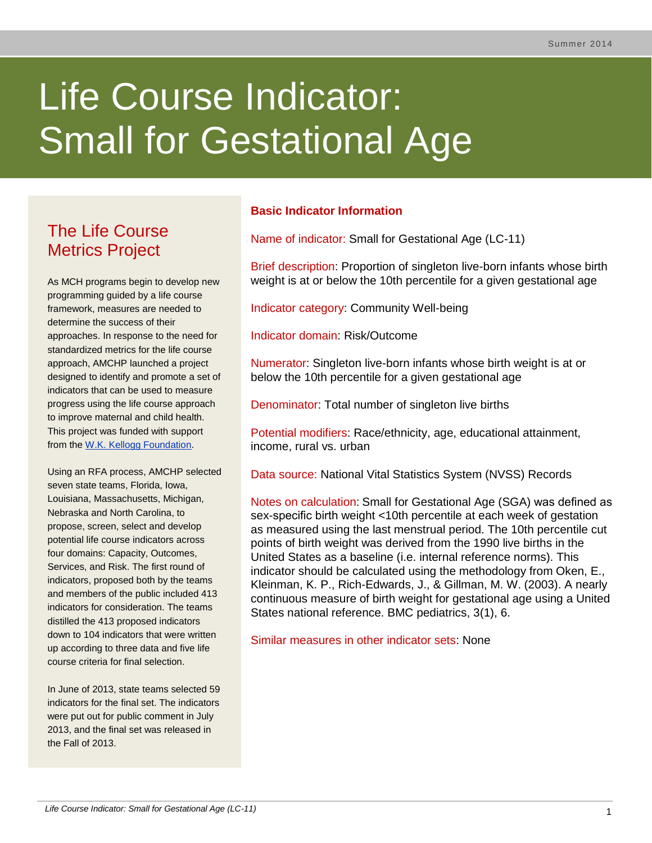# Life Course Indicator: Small for Gestational Age

# The Life Course Metrics Project

As MCH programs begin to develop new programming guided by a life course framework, measures are needed to determine the success of their approaches. In response to the need for standardized metrics for the life course approach, AMCHP launched a project designed to identify and promote a set of indicators that can be used to measure progress using the life course approach to improve maternal and child health. This project was funded with support from the [W.K. Kellogg Foundation.](http://www.wkkf.org/)

Using an RFA process, AMCHP selected seven state teams, Florida, Iowa, Louisiana, Massachusetts, Michigan, Nebraska and North Carolina, to propose, screen, select and develop potential life course indicators across four domains: Capacity, Outcomes, Services, and Risk. The first round of indicators, proposed both by the teams and members of the public included 413 indicators for consideration. The teams distilled the 413 proposed indicators down to 104 indicators that were written up according to three data and five life course criteria for final selection.

In June of 2013, state teams selected 59 indicators for the final set. The indicators were put out for public comment in July 2013, and the final set was released in the Fall of 2013.

# **Basic Indicator Information**

Name of indicator: Small for Gestational Age (LC-11)

Brief description: Proportion of singleton live-born infants whose birth weight is at or below the 10th percentile for a given gestational age

Indicator category: Community Well-being

Indicator domain: Risk/Outcome

Numerator: Singleton live-born infants whose birth weight is at or below the 10th percentile for a given gestational age

Denominator: Total number of singleton live births

Potential modifiers: Race/ethnicity, age, educational attainment, income, rural vs. urban

Data source: National Vital Statistics System (NVSS) Records

Notes on calculation: Small for Gestational Age (SGA) was defined as sex-specific birth weight <10th percentile at each week of gestation as measured using the last menstrual period. The 10th percentile cut points of birth weight was derived from the 1990 live births in the United States as a baseline (i.e. internal reference norms). This indicator should be calculated using the methodology from Oken, E., Kleinman, K. P., Rich-Edwards, J., & Gillman, M. W. (2003). A nearly continuous measure of birth weight for gestational age using a United States national reference. BMC pediatrics, 3(1), 6.

Similar measures in other indicator sets: None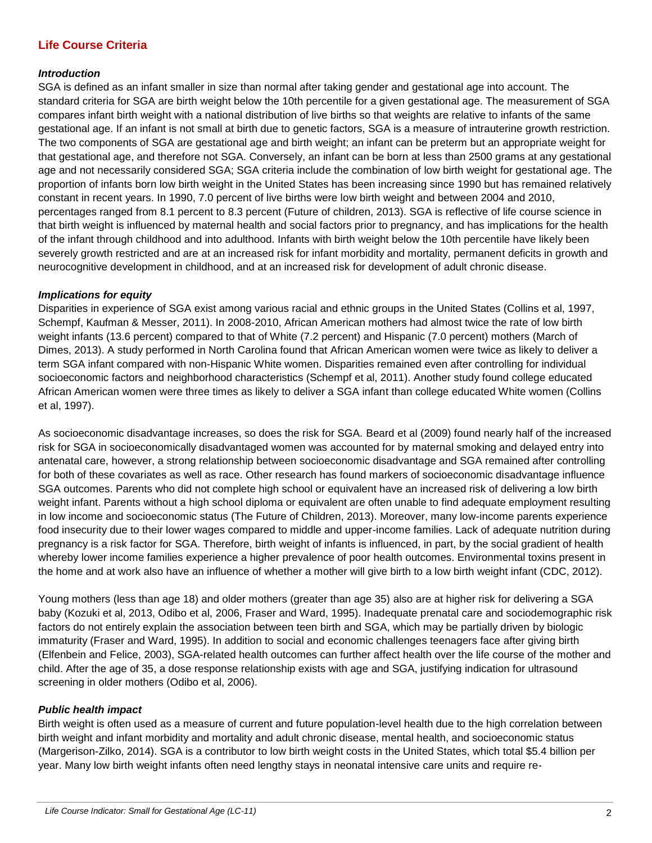### **Life Course Criteria**

#### *Introduction*

SGA is defined as an infant smaller in size than normal after taking gender and gestational age into account. The standard criteria for SGA are birth weight below the 10th percentile for a given gestational age. The measurement of SGA compares infant birth weight with a national distribution of live births so that weights are relative to infants of the same gestational age. If an infant is not small at birth due to genetic factors, SGA is a measure of intrauterine growth restriction. The two components of SGA are gestational age and birth weight; an infant can be preterm but an appropriate weight for that gestational age, and therefore not SGA. Conversely, an infant can be born at less than 2500 grams at any gestational age and not necessarily considered SGA; SGA criteria include the combination of low birth weight for gestational age. The proportion of infants born low birth weight in the United States has been increasing since 1990 but has remained relatively constant in recent years. In 1990, 7.0 percent of live births were low birth weight and between 2004 and 2010, percentages ranged from 8.1 percent to 8.3 percent (Future of children, 2013). SGA is reflective of life course science in that birth weight is influenced by maternal health and social factors prior to pregnancy, and has implications for the health of the infant through childhood and into adulthood. Infants with birth weight below the 10th percentile have likely been severely growth restricted and are at an increased risk for infant morbidity and mortality, permanent deficits in growth and neurocognitive development in childhood, and at an increased risk for development of adult chronic disease.

#### *Implications for equity*

Disparities in experience of SGA exist among various racial and ethnic groups in the United States (Collins et al, 1997, Schempf, Kaufman & Messer, 2011). In 2008-2010, African American mothers had almost twice the rate of low birth weight infants (13.6 percent) compared to that of White (7.2 percent) and Hispanic (7.0 percent) mothers (March of Dimes, 2013). A study performed in North Carolina found that African American women were twice as likely to deliver a term SGA infant compared with non-Hispanic White women. Disparities remained even after controlling for individual socioeconomic factors and neighborhood characteristics (Schempf et al, 2011). Another study found college educated African American women were three times as likely to deliver a SGA infant than college educated White women (Collins et al, 1997).

As socioeconomic disadvantage increases, so does the risk for SGA. Beard et al (2009) found nearly half of the increased risk for SGA in socioeconomically disadvantaged women was accounted for by maternal smoking and delayed entry into antenatal care, however, a strong relationship between socioeconomic disadvantage and SGA remained after controlling for both of these covariates as well as race. Other research has found markers of socioeconomic disadvantage influence SGA outcomes. Parents who did not complete high school or equivalent have an increased risk of delivering a low birth weight infant. Parents without a high school diploma or equivalent are often unable to find adequate employment resulting in low income and socioeconomic status (The Future of Children, 2013). Moreover, many low-income parents experience food insecurity due to their lower wages compared to middle and upper-income families. Lack of adequate nutrition during pregnancy is a risk factor for SGA. Therefore, birth weight of infants is influenced, in part, by the social gradient of health whereby lower income families experience a higher prevalence of poor health outcomes. Environmental toxins present in the home and at work also have an influence of whether a mother will give birth to a low birth weight infant (CDC, 2012).

Young mothers (less than age 18) and older mothers (greater than age 35) also are at higher risk for delivering a SGA baby (Kozuki et al, 2013, Odibo et al, 2006, Fraser and Ward, 1995). Inadequate prenatal care and sociodemographic risk factors do not entirely explain the association between teen birth and SGA, which may be partially driven by biologic immaturity (Fraser and Ward, 1995). In addition to social and economic challenges teenagers face after giving birth (Elfenbein and Felice, 2003), SGA-related health outcomes can further affect health over the life course of the mother and child. After the age of 35, a dose response relationship exists with age and SGA, justifying indication for ultrasound screening in older mothers (Odibo et al, 2006).

#### *Public health impact*

Birth weight is often used as a measure of current and future population-level health due to the high correlation between birth weight and infant morbidity and mortality and adult chronic disease, mental health, and socioeconomic status (Margerison-Zilko, 2014). SGA is a contributor to low birth weight costs in the United States, which total \$5.4 billion per year. Many low birth weight infants often need lengthy stays in neonatal intensive care units and require re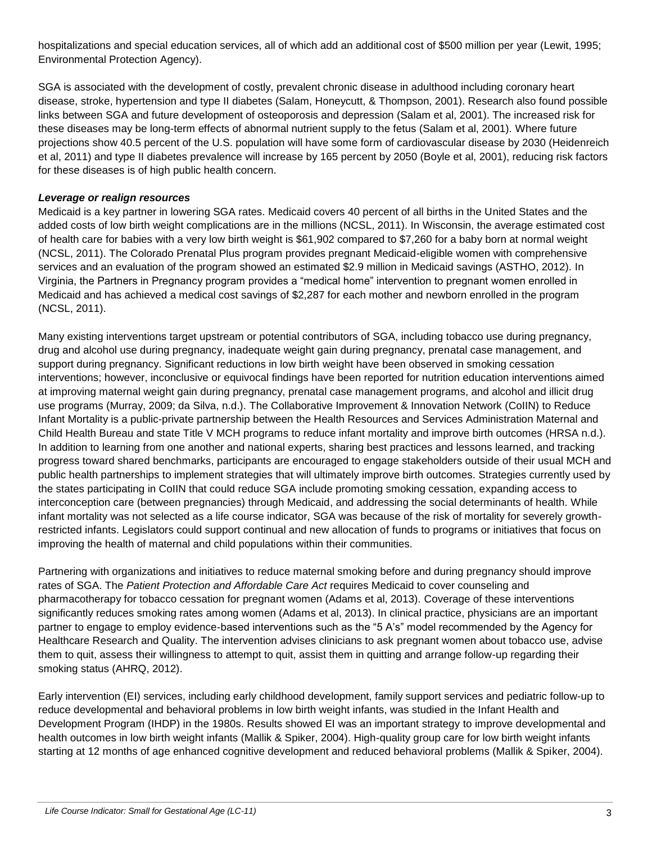hospitalizations and special education services, all of which add an additional cost of \$500 million per year (Lewit, 1995; Environmental Protection Agency).

SGA is associated with the development of costly, prevalent chronic disease in adulthood including coronary heart disease, stroke, hypertension and type II diabetes (Salam, Honeycutt, & Thompson, 2001). Research also found possible links between SGA and future development of osteoporosis and depression (Salam et al, 2001). The increased risk for these diseases may be long-term effects of abnormal nutrient supply to the fetus (Salam et al, 2001). Where future projections show 40.5 percent of the U.S. population will have some form of cardiovascular disease by 2030 (Heidenreich et al, 2011) and type II diabetes prevalence will increase by 165 percent by 2050 (Boyle et al, 2001), reducing risk factors for these diseases is of high public health concern.

#### *Leverage or realign resources*

Medicaid is a key partner in lowering SGA rates. Medicaid covers 40 percent of all births in the United States and the added costs of low birth weight complications are in the millions (NCSL, 2011). In Wisconsin, the average estimated cost of health care for babies with a very low birth weight is \$61,902 compared to \$7,260 for a baby born at normal weight (NCSL, 2011). The Colorado Prenatal Plus program provides pregnant Medicaid-eligible women with comprehensive services and an evaluation of the program showed an estimated \$2.9 million in Medicaid savings (ASTHO, 2012). In Virginia, the Partners in Pregnancy program provides a "medical home" intervention to pregnant women enrolled in Medicaid and has achieved a medical cost savings of \$2,287 for each mother and newborn enrolled in the program (NCSL, 2011).

Many existing interventions target upstream or potential contributors of SGA, including tobacco use during pregnancy, drug and alcohol use during pregnancy, inadequate weight gain during pregnancy, prenatal case management, and support during pregnancy. Significant reductions in low birth weight have been observed in smoking cessation interventions; however, inconclusive or equivocal findings have been reported for nutrition education interventions aimed at improving maternal weight gain during pregnancy, prenatal case management programs, and alcohol and illicit drug use programs (Murray, 2009; da Silva, n.d.). The Collaborative Improvement & Innovation Network (CoIIN) to Reduce Infant Mortality is a public-private partnership between the Health Resources and Services Administration Maternal and Child Health Bureau and state Title V MCH programs to reduce infant mortality and improve birth outcomes (HRSA n.d.). In addition to learning from one another and national experts, sharing best practices and lessons learned, and tracking progress toward shared benchmarks, participants are encouraged to engage stakeholders outside of their usual MCH and public health partnerships to implement strategies that will ultimately improve birth outcomes. Strategies currently used by the states participating in CoIIN that could reduce SGA include promoting smoking cessation, expanding access to interconception care (between pregnancies) through Medicaid, and addressing the social determinants of health. While infant mortality was not selected as a life course indicator, SGA was because of the risk of mortality for severely growthrestricted infants. Legislators could support continual and new allocation of funds to programs or initiatives that focus on improving the health of maternal and child populations within their communities.

Partnering with organizations and initiatives to reduce maternal smoking before and during pregnancy should improve rates of SGA. The *Patient Protection and Affordable Care Act* requires Medicaid to cover counseling and pharmacotherapy for tobacco cessation for pregnant women (Adams et al, 2013). Coverage of these interventions significantly reduces smoking rates among women (Adams et al, 2013). In clinical practice, physicians are an important partner to engage to employ evidence-based interventions such as the "5 A's" model recommended by the Agency for Healthcare Research and Quality. The intervention advises clinicians to ask pregnant women about tobacco use, advise them to quit, assess their willingness to attempt to quit, assist them in quitting and arrange follow-up regarding their smoking status (AHRQ, 2012).

Early intervention (EI) services, including early childhood development, family support services and pediatric follow-up to reduce developmental and behavioral problems in low birth weight infants, was studied in the Infant Health and Development Program (IHDP) in the 1980s. Results showed EI was an important strategy to improve developmental and health outcomes in low birth weight infants (Mallik & Spiker, 2004). High-quality group care for low birth weight infants starting at 12 months of age enhanced cognitive development and reduced behavioral problems (Mallik & Spiker, 2004).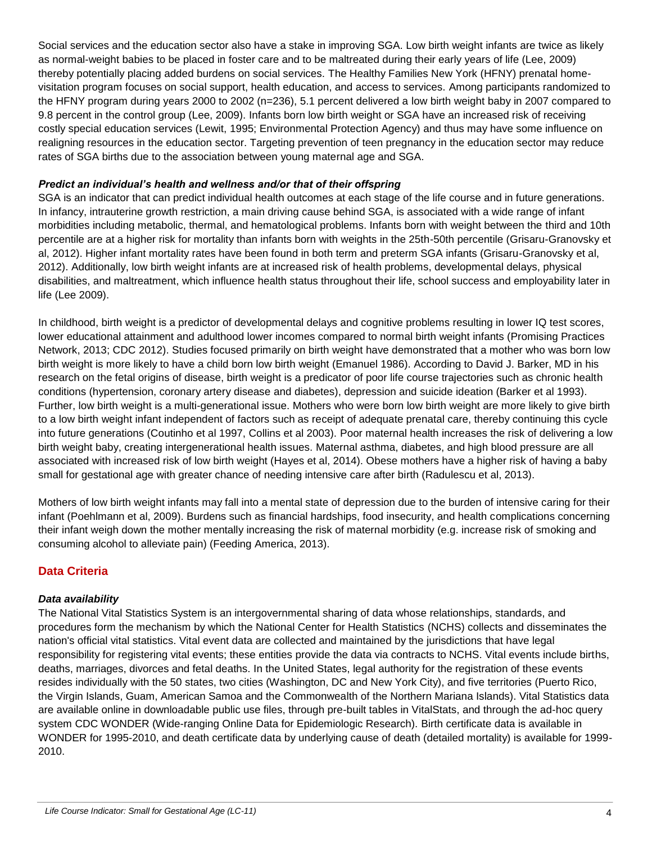Social services and the education sector also have a stake in improving SGA. Low birth weight infants are twice as likely as normal-weight babies to be placed in foster care and to be maltreated during their early years of life (Lee, 2009) thereby potentially placing added burdens on social services. The Healthy Families New York (HFNY) prenatal homevisitation program focuses on social support, health education, and access to services. Among participants randomized to the HFNY program during years 2000 to 2002 (n=236), 5.1 percent delivered a low birth weight baby in 2007 compared to 9.8 percent in the control group (Lee, 2009). Infants born low birth weight or SGA have an increased risk of receiving costly special education services (Lewit, 1995; Environmental Protection Agency) and thus may have some influence on realigning resources in the education sector. Targeting prevention of teen pregnancy in the education sector may reduce rates of SGA births due to the association between young maternal age and SGA.

#### *Predict an individual's health and wellness and/or that of their offspring*

SGA is an indicator that can predict individual health outcomes at each stage of the life course and in future generations. In infancy, intrauterine growth restriction, a main driving cause behind SGA, is associated with a wide range of infant morbidities including metabolic, thermal, and hematological problems. Infants born with weight between the third and 10th percentile are at a higher risk for mortality than infants born with weights in the 25th-50th percentile (Grisaru-Granovsky et al, 2012). Higher infant mortality rates have been found in both term and preterm SGA infants (Grisaru-Granovsky et al, 2012). Additionally, low birth weight infants are at increased risk of health problems, developmental delays, physical disabilities, and maltreatment, which influence health status throughout their life, school success and employability later in life (Lee 2009).

In childhood, birth weight is a predictor of developmental delays and cognitive problems resulting in lower IQ test scores, lower educational attainment and adulthood lower incomes compared to normal birth weight infants (Promising Practices Network, 2013; CDC 2012). Studies focused primarily on birth weight have demonstrated that a mother who was born low birth weight is more likely to have a child born low birth weight (Emanuel 1986). According to David J. Barker, MD in his research on the fetal origins of disease, birth weight is a predicator of poor life course trajectories such as chronic health conditions (hypertension, coronary artery disease and diabetes), depression and suicide ideation (Barker et al 1993). Further, low birth weight is a multi-generational issue. Mothers who were born low birth weight are more likely to give birth to a low birth weight infant independent of factors such as receipt of adequate prenatal care, thereby continuing this cycle into future generations (Coutinho et al 1997, Collins et al 2003). Poor maternal health increases the risk of delivering a low birth weight baby, creating intergenerational health issues. Maternal asthma, diabetes, and high blood pressure are all associated with increased risk of low birth weight (Hayes et al, 2014). Obese mothers have a higher risk of having a baby small for gestational age with greater chance of needing intensive care after birth (Radulescu et al, 2013).

Mothers of low birth weight infants may fall into a mental state of depression due to the burden of intensive caring for their infant (Poehlmann et al, 2009). Burdens such as financial hardships, food insecurity, and health complications concerning their infant weigh down the mother mentally increasing the risk of maternal morbidity (e.g. increase risk of smoking and consuming alcohol to alleviate pain) (Feeding America, 2013).

# **Data Criteria**

#### *Data availability*

The National Vital Statistics System is an intergovernmental sharing of data whose relationships, standards, and procedures form the mechanism by which the National Center for Health Statistics (NCHS) collects and disseminates the nation's official vital statistics. Vital event data are collected and maintained by the jurisdictions that have legal responsibility for registering vital events; these entities provide the data via contracts to NCHS. Vital events include births, deaths, marriages, divorces and fetal deaths. In the United States, legal authority for the registration of these events resides individually with the 50 states, two cities (Washington, DC and New York City), and five territories (Puerto Rico, the Virgin Islands, Guam, American Samoa and the Commonwealth of the Northern Mariana Islands). Vital Statistics data are available online in downloadable public use files, through pre-built tables in VitalStats, and through the ad-hoc query system CDC WONDER (Wide-ranging Online Data for Epidemiologic Research). Birth certificate data is available in WONDER for 1995-2010, and death certificate data by underlying cause of death (detailed mortality) is available for 1999- 2010.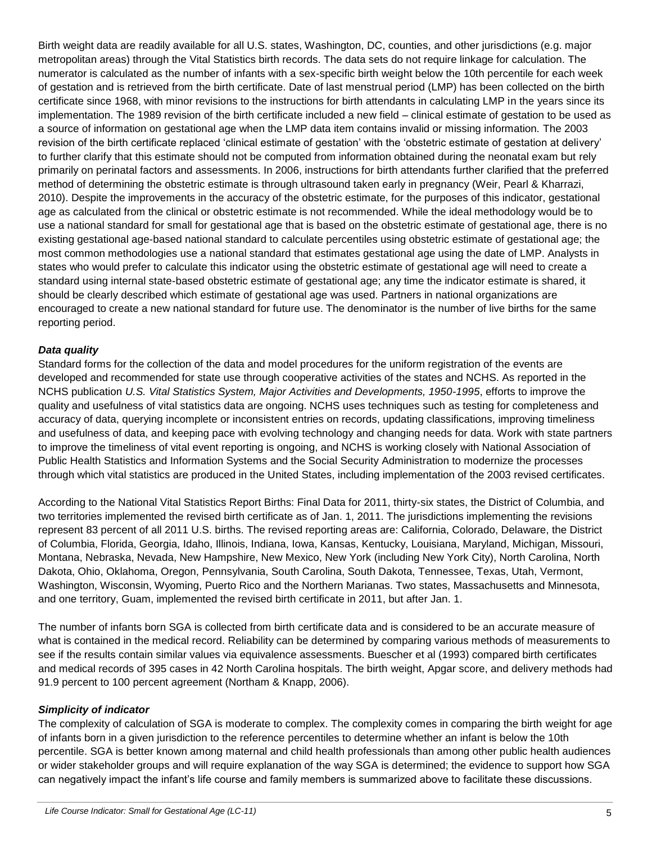Birth weight data are readily available for all U.S. states, Washington, DC, counties, and other jurisdictions (e.g. major metropolitan areas) through the Vital Statistics birth records. The data sets do not require linkage for calculation. The numerator is calculated as the number of infants with a sex-specific birth weight below the 10th percentile for each week of gestation and is retrieved from the birth certificate. Date of last menstrual period (LMP) has been collected on the birth certificate since 1968, with minor revisions to the instructions for birth attendants in calculating LMP in the years since its implementation. The 1989 revision of the birth certificate included a new field – clinical estimate of gestation to be used as a source of information on gestational age when the LMP data item contains invalid or missing information. The 2003 revision of the birth certificate replaced 'clinical estimate of gestation' with the 'obstetric estimate of gestation at delivery' to further clarify that this estimate should not be computed from information obtained during the neonatal exam but rely primarily on perinatal factors and assessments. In 2006, instructions for birth attendants further clarified that the preferred method of determining the obstetric estimate is through ultrasound taken early in pregnancy (Weir, Pearl & Kharrazi, 2010). Despite the improvements in the accuracy of the obstetric estimate, for the purposes of this indicator, gestational age as calculated from the clinical or obstetric estimate is not recommended. While the ideal methodology would be to use a national standard for small for gestational age that is based on the obstetric estimate of gestational age, there is no existing gestational age-based national standard to calculate percentiles using obstetric estimate of gestational age; the most common methodologies use a national standard that estimates gestational age using the date of LMP. Analysts in states who would prefer to calculate this indicator using the obstetric estimate of gestational age will need to create a standard using internal state-based obstetric estimate of gestational age; any time the indicator estimate is shared, it should be clearly described which estimate of gestational age was used. Partners in national organizations are encouraged to create a new national standard for future use. The denominator is the number of live births for the same reporting period.

#### *Data quality*

Standard forms for the collection of the data and model procedures for the uniform registration of the events are developed and recommended for state use through cooperative activities of the states and NCHS. As reported in the NCHS publication *U.S. Vital Statistics System, Major Activities and Developments, 1950-1995*, efforts to improve the quality and usefulness of vital statistics data are ongoing. NCHS uses techniques such as testing for completeness and accuracy of data, querying incomplete or inconsistent entries on records, updating classifications, improving timeliness and usefulness of data, and keeping pace with evolving technology and changing needs for data. Work with state partners to improve the timeliness of vital event reporting is ongoing, and NCHS is working closely with National Association of Public Health Statistics and Information Systems and the Social Security Administration to modernize the processes through which vital statistics are produced in the United States, including implementation of the 2003 revised certificates.

According to the National Vital Statistics Report Births: Final Data for 2011, thirty-six states, the District of Columbia, and two territories implemented the revised birth certificate as of Jan. 1, 2011. The jurisdictions implementing the revisions represent 83 percent of all 2011 U.S. births. The revised reporting areas are: California, Colorado, Delaware, the District of Columbia, Florida, Georgia, Idaho, Illinois, Indiana, Iowa, Kansas, Kentucky, Louisiana, Maryland, Michigan, Missouri, Montana, Nebraska, Nevada, New Hampshire, New Mexico, New York (including New York City), North Carolina, North Dakota, Ohio, Oklahoma, Oregon, Pennsylvania, South Carolina, South Dakota, Tennessee, Texas, Utah, Vermont, Washington, Wisconsin, Wyoming, Puerto Rico and the Northern Marianas. Two states, Massachusetts and Minnesota, and one territory, Guam, implemented the revised birth certificate in 2011, but after Jan. 1.

The number of infants born SGA is collected from birth certificate data and is considered to be an accurate measure of what is contained in the medical record. Reliability can be determined by comparing various methods of measurements to see if the results contain similar values via equivalence assessments. Buescher et al (1993) compared birth certificates and medical records of 395 cases in 42 North Carolina hospitals. The birth weight, Apgar score, and delivery methods had 91.9 percent to 100 percent agreement (Northam & Knapp, 2006).

#### *Simplicity of indicator*

The complexity of calculation of SGA is moderate to complex. The complexity comes in comparing the birth weight for age of infants born in a given jurisdiction to the reference percentiles to determine whether an infant is below the 10th percentile. SGA is better known among maternal and child health professionals than among other public health audiences or wider stakeholder groups and will require explanation of the way SGA is determined; the evidence to support how SGA can negatively impact the infant's life course and family members is summarized above to facilitate these discussions.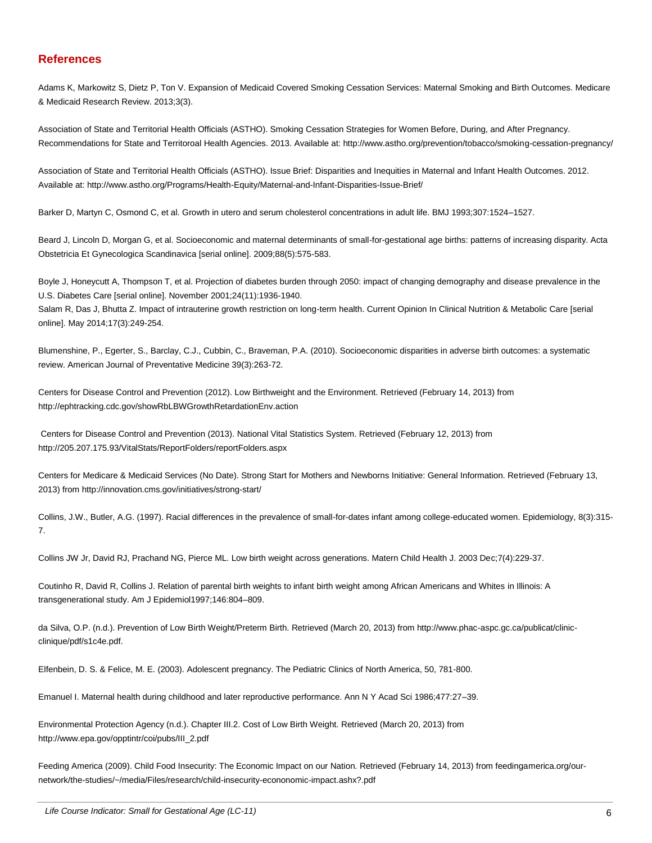#### **References**

Adams K, Markowitz S, Dietz P, Ton V. Expansion of Medicaid Covered Smoking Cessation Services: Maternal Smoking and Birth Outcomes. Medicare & Medicaid Research Review. 2013;3(3).

Association of State and Territorial Health Officials (ASTHO). Smoking Cessation Strategies for Women Before, During, and After Pregnancy. Recommendations for State and Territoroal Health Agencies. 2013. Available at: http://www.astho.org/prevention/tobacco/smoking-cessation-pregnancy/

Association of State and Territorial Health Officials (ASTHO). Issue Brief: Disparities and Inequities in Maternal and Infant Health Outcomes. 2012. Available at: http://www.astho.org/Programs/Health-Equity/Maternal-and-Infant-Disparities-Issue-Brief/

Barker D, Martyn C, Osmond C, et al. Growth in utero and serum cholesterol concentrations in adult life. BMJ 1993;307:1524–1527.

Beard J, Lincoln D, Morgan G, et al. Socioeconomic and maternal determinants of small-for-gestational age births: patterns of increasing disparity. Acta Obstetricia Et Gynecologica Scandinavica [serial online]. 2009;88(5):575-583.

Boyle J, Honeycutt A, Thompson T, et al. Projection of diabetes burden through 2050: impact of changing demography and disease prevalence in the U.S. Diabetes Care [serial online]. November 2001;24(11):1936-1940.

Salam R, Das J, Bhutta Z. Impact of intrauterine growth restriction on long-term health. Current Opinion In Clinical Nutrition & Metabolic Care [serial online]. May 2014;17(3):249-254.

Blumenshine, P., Egerter, S., Barclay, C.J., Cubbin, C., Braveman, P.A. (2010). Socioeconomic disparities in adverse birth outcomes: a systematic review. American Journal of Preventative Medicine 39(3):263-72.

Centers for Disease Control and Prevention (2012). Low Birthweight and the Environment. Retrieved (February 14, 2013) from http://ephtracking.cdc.gov/showRbLBWGrowthRetardationEnv.action

Centers for Disease Control and Prevention (2013). National Vital Statistics System. Retrieved (February 12, 2013) from http://205.207.175.93/VitalStats/ReportFolders/reportFolders.aspx

Centers for Medicare & Medicaid Services (No Date). Strong Start for Mothers and Newborns Initiative: General Information. Retrieved (February 13, 2013) from http://innovation.cms.gov/initiatives/strong-start/

Collins, J.W., Butler, A.G. (1997). Racial differences in the prevalence of small-for-dates infant among college-educated women. Epidemiology, 8(3):315- 7.

Collins JW Jr, David RJ, Prachand NG, Pierce ML. Low birth weight across generations. Matern Child Health J. 2003 Dec;7(4):229-37.

Coutinho R, David R, Collins J. Relation of parental birth weights to infant birth weight among African Americans and Whites in Illinois: A transgenerational study. Am J Epidemiol1997;146:804–809.

da Silva, O.P. (n.d.). Prevention of Low Birth Weight/Preterm Birth. Retrieved (March 20, 2013) from http://www.phac-aspc.gc.ca/publicat/clinicclinique/pdf/s1c4e.pdf.

Elfenbein, D. S. & Felice, M. E. (2003). Adolescent pregnancy. The Pediatric Clinics of North America, 50, 781-800.

Emanuel I. Maternal health during childhood and later reproductive performance. Ann N Y Acad Sci 1986;477:27–39.

Environmental Protection Agency (n.d.). Chapter III.2. Cost of Low Birth Weight. Retrieved (March 20, 2013) from http://www.epa.gov/opptintr/coi/pubs/III\_2.pdf

Feeding America (2009). Child Food Insecurity: The Economic Impact on our Nation. Retrieved (February 14, 2013) from feedingamerica.org/ournetwork/the-studies/~/media/Files/research/child-insecurity-econonomic-impact.ashx?.pdf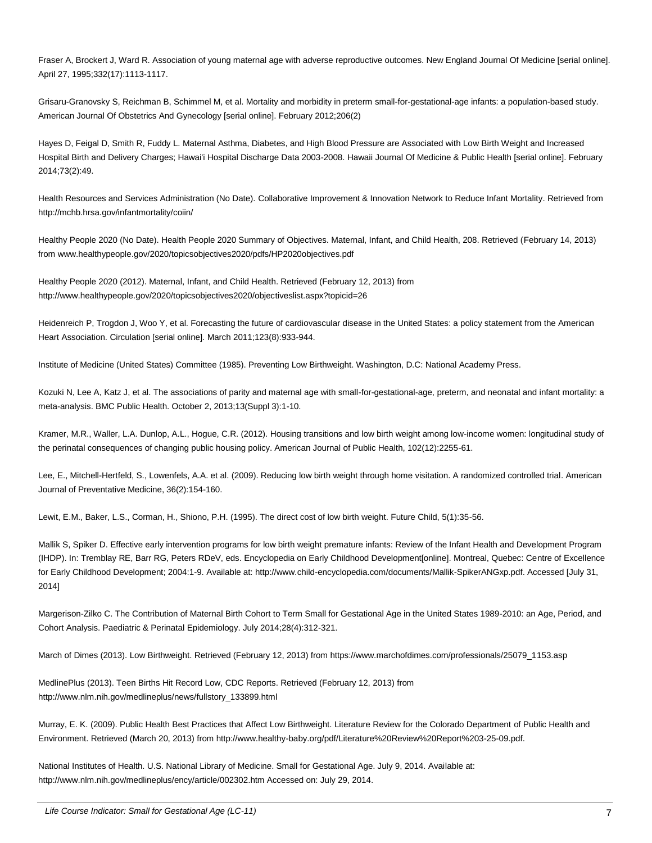Fraser A, Brockert J, Ward R. Association of young maternal age with adverse reproductive outcomes. New England Journal Of Medicine [serial online]. April 27, 1995;332(17):1113-1117.

Grisaru-Granovsky S, Reichman B, Schimmel M, et al. Mortality and morbidity in preterm small-for-gestational-age infants: a population-based study. American Journal Of Obstetrics And Gynecology [serial online]. February 2012;206(2)

Hayes D, Feigal D, Smith R, Fuddy L. Maternal Asthma, Diabetes, and High Blood Pressure are Associated with Low Birth Weight and Increased Hospital Birth and Delivery Charges; Hawai'i Hospital Discharge Data 2003-2008. Hawaii Journal Of Medicine & Public Health [serial online]. February 2014;73(2):49.

Health Resources and Services Administration (No Date). Collaborative Improvement & Innovation Network to Reduce Infant Mortality. Retrieved from http://mchb.hrsa.gov/infantmortality/coiin/

Healthy People 2020 (No Date). Health People 2020 Summary of Objectives. Maternal, Infant, and Child Health, 208. Retrieved (February 14, 2013) from www.healthypeople.gov/2020/topicsobjectives2020/pdfs/HP2020objectives.pdf

Healthy People 2020 (2012). Maternal, Infant, and Child Health. Retrieved (February 12, 2013) from http://www.healthypeople.gov/2020/topicsobjectives2020/objectiveslist.aspx?topicid=26

Heidenreich P, Trogdon J, Woo Y, et al. Forecasting the future of cardiovascular disease in the United States: a policy statement from the American Heart Association. Circulation [serial online]. March 2011;123(8):933-944.

Institute of Medicine (United States) Committee (1985). Preventing Low Birthweight. Washington, D.C: National Academy Press.

Kozuki N, Lee A, Katz J, et al. The associations of parity and maternal age with small-for-gestational-age, preterm, and neonatal and infant mortality: a meta-analysis. BMC Public Health. October 2, 2013;13(Suppl 3):1-10.

Kramer, M.R., Waller, L.A. Dunlop, A.L., Hogue, C.R. (2012). Housing transitions and low birth weight among low-income women: longitudinal study of the perinatal consequences of changing public housing policy. American Journal of Public Health, 102(12):2255-61.

Lee, E., Mitchell-Hertfeld, S., Lowenfels, A.A. et al. (2009). Reducing low birth weight through home visitation. A randomized controlled trial. American Journal of Preventative Medicine, 36(2):154-160.

Lewit, E.M., Baker, L.S., Corman, H., Shiono, P.H. (1995). The direct cost of low birth weight. Future Child, 5(1):35-56.

Mallik S, Spiker D. Effective early intervention programs for low birth weight premature infants: Review of the Infant Health and Development Program (IHDP). In: Tremblay RE, Barr RG, Peters RDeV, eds. Encyclopedia on Early Childhood Development[online]. Montreal, Quebec: Centre of Excellence for Early Childhood Development; 2004:1-9. Available at: http://www.child-encyclopedia.com/documents/Mallik-SpikerANGxp.pdf. Accessed [July 31, 2014]

Margerison-Zilko C. The Contribution of Maternal Birth Cohort to Term Small for Gestational Age in the United States 1989-2010: an Age, Period, and Cohort Analysis. Paediatric & Perinatal Epidemiology. July 2014;28(4):312-321.

March of Dimes (2013). Low Birthweight. Retrieved (February 12, 2013) from https://www.marchofdimes.com/professionals/25079\_1153.asp

MedlinePlus (2013). Teen Births Hit Record Low, CDC Reports. Retrieved (February 12, 2013) from http://www.nlm.nih.gov/medlineplus/news/fullstory\_133899.html

Murray, E. K. (2009). Public Health Best Practices that Affect Low Birthweight. Literature Review for the Colorado Department of Public Health and Environment. Retrieved (March 20, 2013) from http://www.healthy-baby.org/pdf/Literature%20Review%20Report%203-25-09.pdf.

National Institutes of Health. U.S. National Library of Medicine. Small for Gestational Age. July 9, 2014. Available at: http://www.nlm.nih.gov/medlineplus/ency/article/002302.htm Accessed on: July 29, 2014.